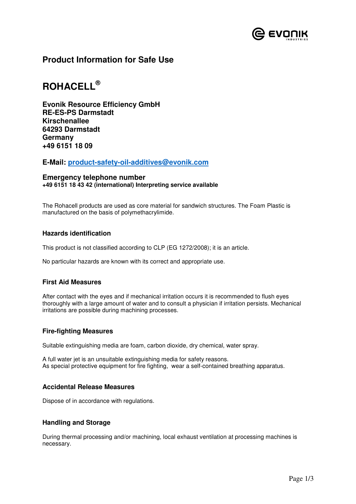

## **Product Information for Safe Use**

# **ROHACELL®**

**Evonik Resource Efficiency GmbH RE-ES-PS Darmstadt Kirschenallee 64293 Darmstadt Germany +49 6151 18 09** 

**E-Mail: product-safety-oil-additives@evonik.com**

#### **Emergency telephone number +49 6151 18 43 42 (international) Interpreting service available**

The Rohacell products are used as core material for sandwich structures. The Foam Plastic is manufactured on the basis of polymethacrylimide.

## **Hazards identification**

This product is not classified according to CLP (EG 1272/2008); it is an article.

No particular hazards are known with its correct and appropriate use.

## **First Aid Measures**

After contact with the eyes and if mechanical irritation occurs it is recommended to flush eyes thoroughly with a large amount of water and to consult a physician if irritation persists. Mechanical irritations are possible during machining processes.

#### **Fire-fighting Measures**

Suitable extinguishing media are foam, carbon dioxide, dry chemical, water spray.

A full water jet is an unsuitable extinguishing media for safety reasons. As special protective equipment for fire fighting, wear a self-contained breathing apparatus.

#### **Accidental Release Measures**

Dispose of in accordance with regulations.

#### **Handling and Storage**

During thermal processing and/or machining, local exhaust ventilation at processing machines is necessary.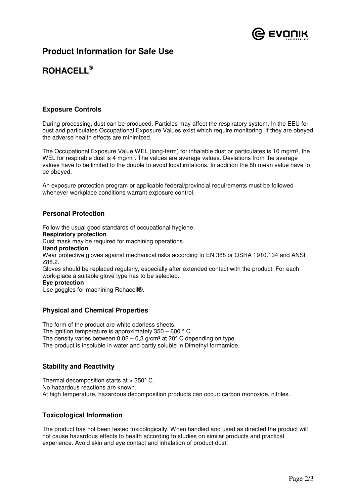

## **Product Information for Safe Use**

# **ROHACELL®**

## **Exposure Controls**

During processing, dust can be produced. Particles may affect the respiratory system. In the EEU for dust and particulates Occupational Exposure Values exist which require monitoring. If they are obeyed the adverse health effects are minimized.

The Occupational Exposure Value WEL (long-term) for inhalable dust or particulates is 10 mg/m<sup>3</sup>, the WEL for respirable dust is 4 mg/m<sup>3</sup>. The values are average values. Deviations from the average values have to be limited to the double to avoid local irritations. In addition the 8h mean value have to be obeyed.

An exposure protection program or applicable federal/provincial requirements must be followed whenever workplace conditions warrant exposure control.

## **Personal Protection**

Follow the usual good standards of occupational hygiene. **Respiratory protection** 

Dust mask may be required for machining operations.

**Hand protection** 

Wear protective gloves against mechanical risks according to EN 388 or OSHA 1910.134 and ANSI Z88.2.

Gloves should be replaced regularly, especially after extended contact with the product. For each work-place a suitable glove type has to be selected.

#### **Eye protection**

Use goggles for machining Rohacell®.

## **Physical and Chemical Properties**

The form of the product are white odorless sheets. The ignition temperature is approximately  $350 - 600$  ° C. The density varies between  $0.02 - 0.3$  g/cm<sup>3</sup> at 20 $^{\circ}$  C depending on type. The product is insoluble in water and partly soluble in Dimethyl formamide.

## **Stability and Reactivity**

Thermal decomposition starts at > 350° C. No hazardous reactions are known. At high temperature, hazardous decomposition products can occur: carbon monoxide, nitriles.

## **Toxicological Information**

The product has not been tested toxicologically. When handled and used as directed the product will not cause hazardous effects to health according to studies on similar products and practical experience. Avoid skin and eye contact and inhalation of product dust.